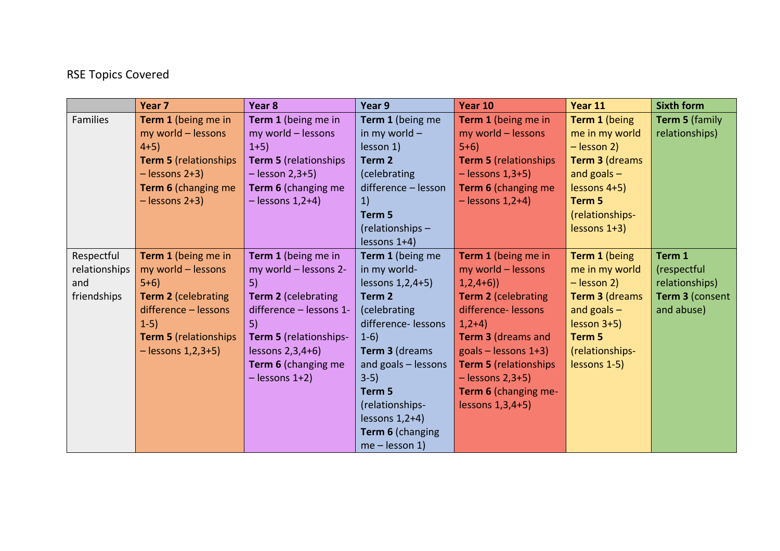## RSE Topics Covered

|               | Year 7                       | Year <sub>8</sub>       | Year 9              | Year 10                               | Year 11         | <b>Sixth form</b>     |
|---------------|------------------------------|-------------------------|---------------------|---------------------------------------|-----------------|-----------------------|
| Families      | Term 1 (being me in          | Term 1 (being me in     | Term 1 (being me    | Term 1 (being me in                   | Term 1 (being   | <b>Term 5 (family</b> |
|               | my world - lessons           | my world - lessons      | in my world $-$     | my world - lessons                    | me in my world  | relationships)        |
|               | $4+5$ )                      | $1+5$ )                 | lesson 1)           | $5+6$                                 | $-$ lesson 2)   |                       |
|               | <b>Term 5 (relationships</b> | Term 5 (relationships   | Term <sub>2</sub>   | <b>Term 5 (relationships</b>          | Term 3 (dreams  |                       |
|               | $-$ lessons 2+3)             | $-$ lesson 2,3+5)       | (celebrating        | $-$ lessons $1,3+5$ )                 | and goals $-$   |                       |
|               | Term 6 (changing me          | Term 6 (changing me     | difference - lesson | Term 6 (changing me                   | lessons 4+5)    |                       |
|               | $-$ lessons 2+3)             | $-$ lessons 1,2+4)      | 1)                  | $-$ lessons 1,2+4)                    | Term 5          |                       |
|               |                              |                         | Term 5              |                                       | (relationships- |                       |
|               |                              |                         | (relationships -    |                                       | $lessons$ 1+3)  |                       |
|               |                              |                         | $lessons$ 1+4)      |                                       |                 |                       |
| Respectful    | Term 1 (being me in          | Term 1 (being me in     | Term 1 (being me    | Term 1 (being me in                   | Term 1 (being   | Term 1                |
| relationships | my world - lessons           | my world - lessons 2-   | in my world-        | my world - lessons                    | me in my world  | (respectful           |
| and           | $5+6$                        | 5)                      | lessons 1, 2, 4+5)  | $1,2,4+6)$                            | $-$ lesson 2)   | relationships)        |
| friendships   | <b>Term 2 (celebrating</b>   | Term 2 (celebrating     | Term <sub>2</sub>   | <b>Term 2 (celebrating</b>            | Term 3 (dreams  | Term 3 (consent       |
|               | difference - lessons         | difference - lessons 1- | (celebrating        | difference-lessons                    | and goals $-$   | and abuse)            |
|               | $1-5)$                       | 5)                      | difference-lessons  | $1,2+4)$                              | $lesson 3+5)$   |                       |
|               | <b>Term 5</b> (relationships | Term 5 (relationships-  | $1-6)$              | <b>Term 3 (dreams and</b>             | Term 5          |                       |
|               | $-$ lessons $1,2,3+5$ )      | lessons $2,3,4+6$       | Term 3 (dreams      | $\text{goals} - \text{lessness } 1+3$ | (relationships- |                       |
|               |                              | Term 6 (changing me     | and goals - lessons | <b>Term 5 (relationships</b>          | lessons 1-5)    |                       |
|               |                              | $-$ lessons $1+2$ )     | $3-5)$              | $-$ lessons 2,3+5)                    |                 |                       |
|               |                              |                         | Term 5              | <b>Term 6</b> (changing me-           |                 |                       |
|               |                              |                         | (relationships-     | lessons $1,3,4+5$ )                   |                 |                       |
|               |                              |                         | lessons $1,2+4$ )   |                                       |                 |                       |
|               |                              |                         | Term 6 (changing    |                                       |                 |                       |
|               |                              |                         | $me$ – lesson 1)    |                                       |                 |                       |